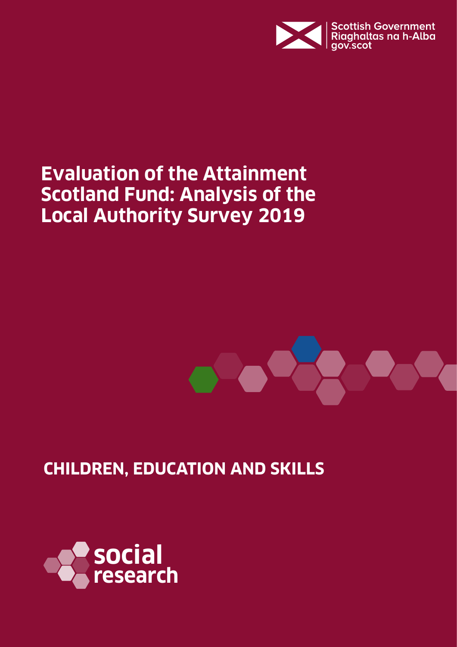

## **Evaluation of the Attainment Scotland Fund: Analysis of the Local Authority Survey 2019**



**CHILDREN, EDUCATION AND SKILLS**

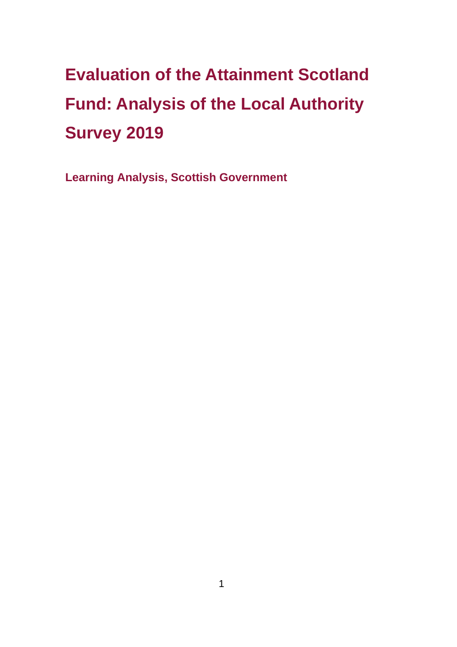# **Evaluation of the Attainment Scotland Fund: Analysis of the Local Authority Survey 2019**

**Learning Analysis, Scottish Government**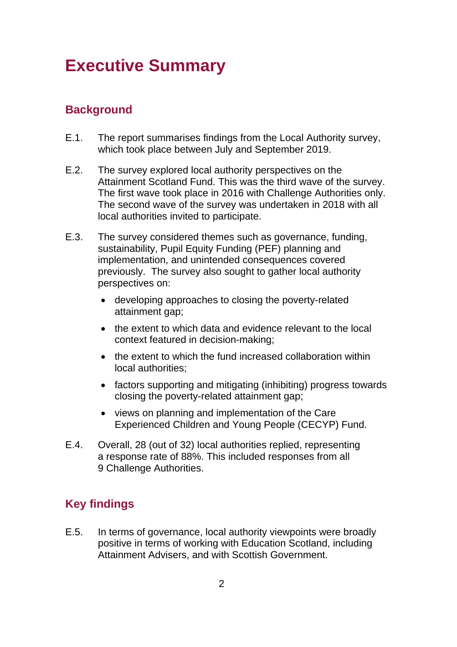### **Executive Summary**

### **Background**

- E.1. The report summarises findings from the Local Authority survey, which took place between July and September 2019.
- E.2. The survey explored local authority perspectives on the Attainment Scotland Fund. This was the third wave of the survey. The first wave took place in 2016 with Challenge Authorities only. The second wave of the survey was undertaken in 2018 with all local authorities invited to participate.
- E.3. The survey considered themes such as governance, funding, sustainability, Pupil Equity Funding (PEF) planning and implementation, and unintended consequences covered previously. The survey also sought to gather local authority perspectives on:
	- developing approaches to closing the poverty-related attainment gap;
	- the extent to which data and evidence relevant to the local context featured in decision-making;
	- the extent to which the fund increased collaboration within local authorities;
	- factors supporting and mitigating (inhibiting) progress towards closing the poverty-related attainment gap;
	- views on planning and implementation of the Care Experienced Children and Young People (CECYP) Fund.
- E.4. Overall, 28 (out of 32) local authorities replied, representing a response rate of 88%. This included responses from all 9 Challenge Authorities.

#### **Key findings**

E.5. In terms of governance, local authority viewpoints were broadly positive in terms of working with Education Scotland, including Attainment Advisers, and with Scottish Government.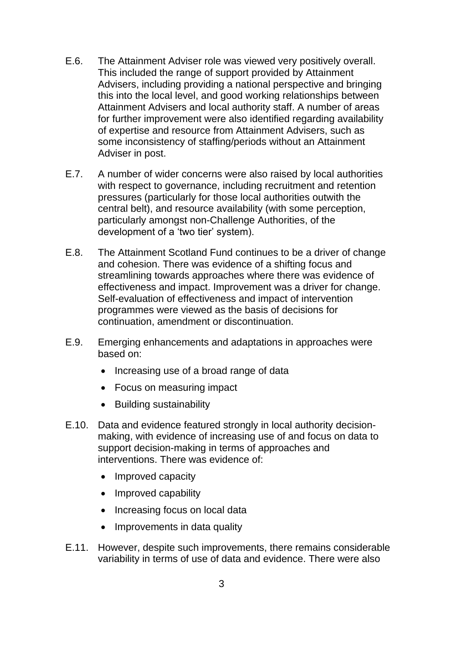- E.6. The Attainment Adviser role was viewed very positively overall. This included the range of support provided by Attainment Advisers, including providing a national perspective and bringing this into the local level, and good working relationships between Attainment Advisers and local authority staff. A number of areas for further improvement were also identified regarding availability of expertise and resource from Attainment Advisers, such as some inconsistency of staffing/periods without an Attainment Adviser in post.
- E.7. A number of wider concerns were also raised by local authorities with respect to governance, including recruitment and retention pressures (particularly for those local authorities outwith the central belt), and resource availability (with some perception, particularly amongst non-Challenge Authorities, of the development of a 'two tier' system).
- E.8. The Attainment Scotland Fund continues to be a driver of change and cohesion. There was evidence of a shifting focus and streamlining towards approaches where there was evidence of effectiveness and impact. Improvement was a driver for change. Self-evaluation of effectiveness and impact of intervention programmes were viewed as the basis of decisions for continuation, amendment or discontinuation.
- E.9. Emerging enhancements and adaptations in approaches were based on:
	- Increasing use of a broad range of data
	- Focus on measuring impact
	- Building sustainability
- E.10. Data and evidence featured strongly in local authority decisionmaking, with evidence of increasing use of and focus on data to support decision-making in terms of approaches and interventions. There was evidence of:
	- Improved capacity
	- Improved capability
	- Increasing focus on local data
	- Improvements in data quality
- E.11. However, despite such improvements, there remains considerable variability in terms of use of data and evidence. There were also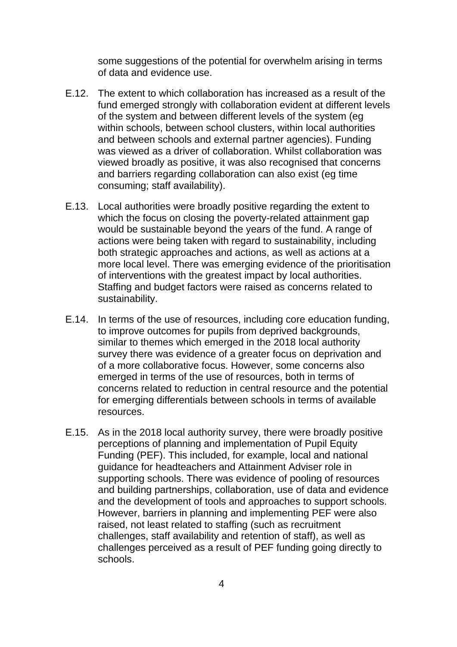some suggestions of the potential for overwhelm arising in terms of data and evidence use.

- E.12. The extent to which collaboration has increased as a result of the fund emerged strongly with collaboration evident at different levels of the system and between different levels of the system (eg within schools, between school clusters, within local authorities and between schools and external partner agencies). Funding was viewed as a driver of collaboration. Whilst collaboration was viewed broadly as positive, it was also recognised that concerns and barriers regarding collaboration can also exist (eg time consuming; staff availability).
- E.13. Local authorities were broadly positive regarding the extent to which the focus on closing the poverty-related attainment gap would be sustainable beyond the years of the fund. A range of actions were being taken with regard to sustainability, including both strategic approaches and actions, as well as actions at a more local level. There was emerging evidence of the prioritisation of interventions with the greatest impact by local authorities. Staffing and budget factors were raised as concerns related to sustainability.
- E.14. In terms of the use of resources, including core education funding, to improve outcomes for pupils from deprived backgrounds, similar to themes which emerged in the 2018 local authority survey there was evidence of a greater focus on deprivation and of a more collaborative focus. However, some concerns also emerged in terms of the use of resources, both in terms of concerns related to reduction in central resource and the potential for emerging differentials between schools in terms of available resources.
- E.15. As in the 2018 local authority survey, there were broadly positive perceptions of planning and implementation of Pupil Equity Funding (PEF). This included, for example, local and national guidance for headteachers and Attainment Adviser role in supporting schools. There was evidence of pooling of resources and building partnerships, collaboration, use of data and evidence and the development of tools and approaches to support schools. However, barriers in planning and implementing PEF were also raised, not least related to staffing (such as recruitment challenges, staff availability and retention of staff), as well as challenges perceived as a result of PEF funding going directly to schools.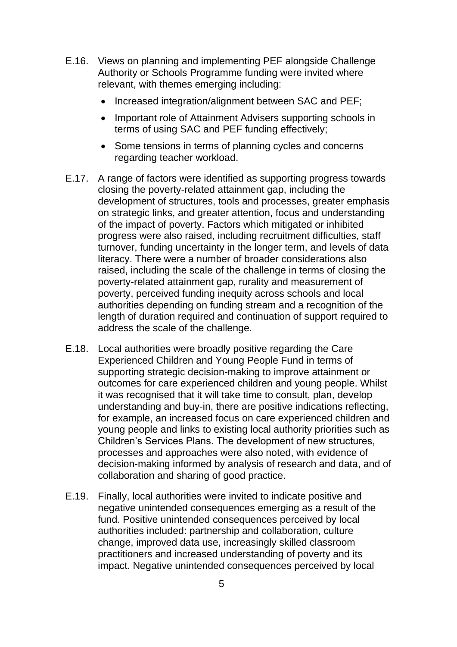- E.16. Views on planning and implementing PEF alongside Challenge Authority or Schools Programme funding were invited where relevant, with themes emerging including:
	- Increased integration/alignment between SAC and PEF;
	- Important role of Attainment Advisers supporting schools in terms of using SAC and PEF funding effectively;
	- Some tensions in terms of planning cycles and concerns regarding teacher workload.
- E.17. A range of factors were identified as supporting progress towards closing the poverty-related attainment gap, including the development of structures, tools and processes, greater emphasis on strategic links, and greater attention, focus and understanding of the impact of poverty. Factors which mitigated or inhibited progress were also raised, including recruitment difficulties, staff turnover, funding uncertainty in the longer term, and levels of data literacy. There were a number of broader considerations also raised, including the scale of the challenge in terms of closing the poverty-related attainment gap, rurality and measurement of poverty, perceived funding inequity across schools and local authorities depending on funding stream and a recognition of the length of duration required and continuation of support required to address the scale of the challenge.
- E.18. Local authorities were broadly positive regarding the Care Experienced Children and Young People Fund in terms of supporting strategic decision-making to improve attainment or outcomes for care experienced children and young people. Whilst it was recognised that it will take time to consult, plan, develop understanding and buy-in, there are positive indications reflecting, for example, an increased focus on care experienced children and young people and links to existing local authority priorities such as Children's Services Plans. The development of new structures, processes and approaches were also noted, with evidence of decision-making informed by analysis of research and data, and of collaboration and sharing of good practice.
- E.19. Finally, local authorities were invited to indicate positive and negative unintended consequences emerging as a result of the fund. Positive unintended consequences perceived by local authorities included: partnership and collaboration, culture change, improved data use, increasingly skilled classroom practitioners and increased understanding of poverty and its impact. Negative unintended consequences perceived by local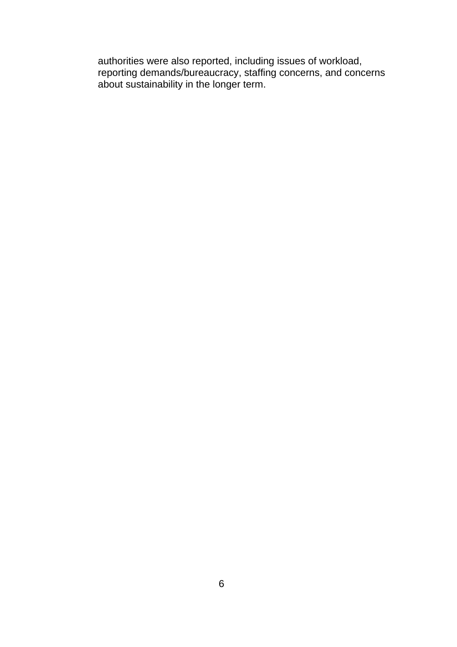authorities were also reported, including issues of workload, reporting demands/bureaucracy, staffing concerns, and concerns about sustainability in the longer term.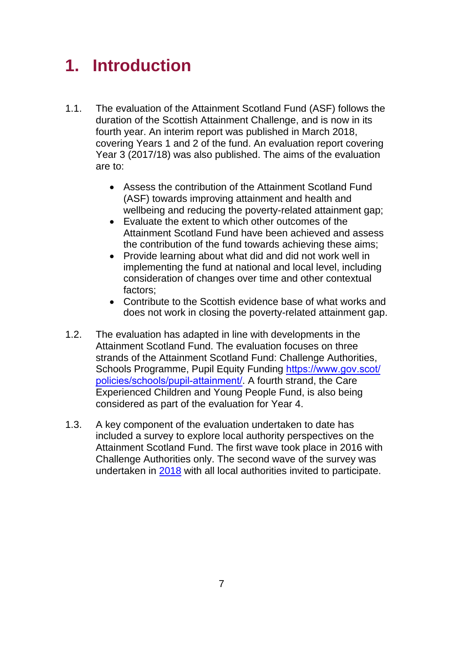### **1. Introduction**

- 1.1. The evaluation of the Attainment Scotland Fund (ASF) follows the duration of the Scottish Attainment Challenge, and is now in its fourth year. An interim report was published in March 2018, covering Years 1 and 2 of the fund. An evaluation report covering Year 3 (2017/18) was also published. The aims of the evaluation are to:
	- Assess the contribution of the Attainment Scotland Fund (ASF) towards improving attainment and health and wellbeing and reducing the poverty-related attainment gap;
	- Evaluate the extent to which other outcomes of the Attainment Scotland Fund have been achieved and assess the contribution of the fund towards achieving these aims;
	- Provide learning about what did and did not work well in implementing the fund at national and local level, including consideration of changes over time and other contextual factors;
	- Contribute to the Scottish evidence base of what works and does not work in closing the poverty-related attainment gap.
- 1.2. The evaluation has adapted in line with developments in the Attainment Scotland Fund. The evaluation focuses on three strands of the Attainment Scotland Fund: Challenge Authorities, [Schools Programme, Pupil Equity Funding](https://www.gov.scot/policies/schools/pupil-attainment/) https://www.gov.scot/ policies/schools/pupil-attainment/. A fourth strand, the Care Experienced Children and Young People Fund, is also being considered as part of the evaluation for Year 4.
- 1.3. A key component of the evaluation undertaken to date has included a survey to explore local authority perspectives on the Attainment Scotland Fund. The first wave took place in 2016 with Challenge Authorities only. The second wave of the survey was undertaken in [2018](https://www.gov.scot/publications/evaluation-attainment-scotland-fund-analysis-local-authority-mini-survey-summer/pages/3/) with all local authorities invited to participate.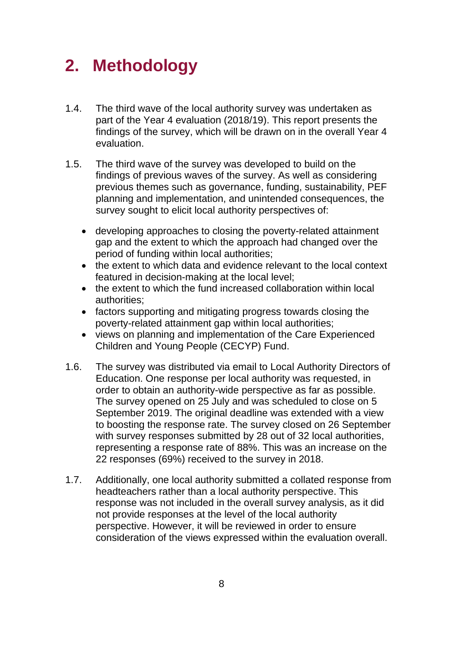### **2. Methodology**

- 1.4. The third wave of the local authority survey was undertaken as part of the Year 4 evaluation (2018/19). This report presents the findings of the survey, which will be drawn on in the overall Year 4 evaluation.
- 1.5. The third wave of the survey was developed to build on the findings of previous waves of the survey. As well as considering previous themes such as governance, funding, sustainability, PEF planning and implementation, and unintended consequences, the survey sought to elicit local authority perspectives of:
	- developing approaches to closing the poverty-related attainment gap and the extent to which the approach had changed over the period of funding within local authorities;
	- the extent to which data and evidence relevant to the local context featured in decision-making at the local level;
	- the extent to which the fund increased collaboration within local authorities;
	- factors supporting and mitigating progress towards closing the poverty-related attainment gap within local authorities;
	- views on planning and implementation of the Care Experienced Children and Young People (CECYP) Fund.
- 1.6. The survey was distributed via email to Local Authority Directors of Education. One response per local authority was requested, in order to obtain an authority-wide perspective as far as possible. The survey opened on 25 July and was scheduled to close on 5 September 2019. The original deadline was extended with a view to boosting the response rate. The survey closed on 26 September with survey responses submitted by 28 out of 32 local authorities, representing a response rate of 88%. This was an increase on the 22 responses (69%) received to the survey in 2018.
- 1.7. Additionally, one local authority submitted a collated response from headteachers rather than a local authority perspective. This response was not included in the overall survey analysis, as it did not provide responses at the level of the local authority perspective. However, it will be reviewed in order to ensure consideration of the views expressed within the evaluation overall.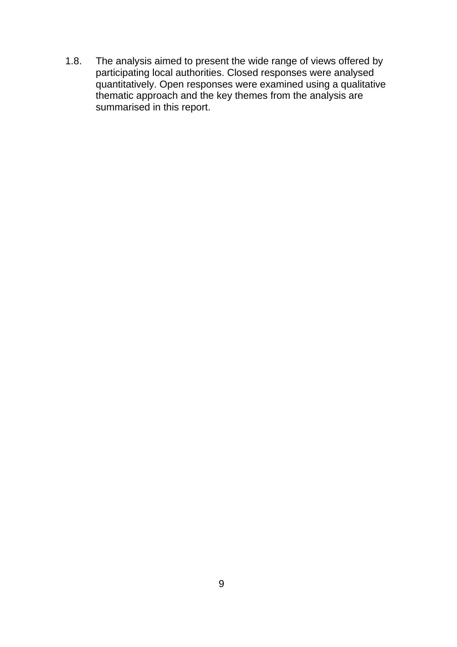1.8. The analysis aimed to present the wide range of views offered by participating local authorities. Closed responses were analysed quantitatively. Open responses were examined using a qualitative thematic approach and the key themes from the analysis are summarised in this report.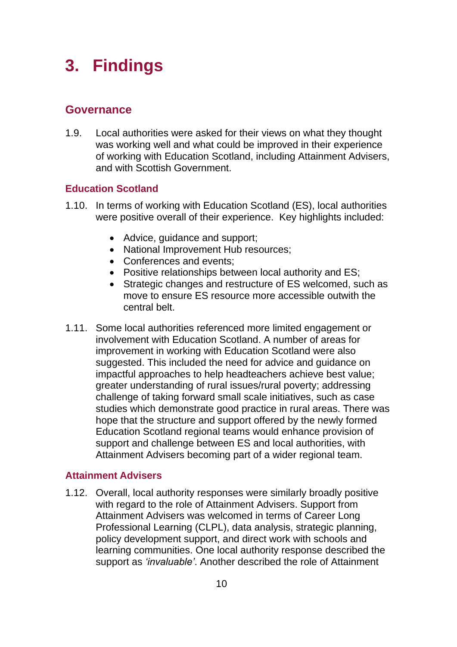### **3. Findings**

#### **Governance**

1.9. Local authorities were asked for their views on what they thought was working well and what could be improved in their experience of working with Education Scotland, including Attainment Advisers, and with Scottish Government.

#### **Education Scotland**

- 1.10. In terms of working with Education Scotland (ES), local authorities were positive overall of their experience. Key highlights included:
	- Advice, guidance and support;
	- National Improvement Hub resources:
	- Conferences and events;
	- Positive relationships between local authority and ES;
	- Strategic changes and restructure of ES welcomed, such as move to ensure ES resource more accessible outwith the central belt.
- 1.11. Some local authorities referenced more limited engagement or involvement with Education Scotland. A number of areas for improvement in working with Education Scotland were also suggested. This included the need for advice and guidance on impactful approaches to help headteachers achieve best value; greater understanding of rural issues/rural poverty; addressing challenge of taking forward small scale initiatives, such as case studies which demonstrate good practice in rural areas. There was hope that the structure and support offered by the newly formed Education Scotland regional teams would enhance provision of support and challenge between ES and local authorities, with Attainment Advisers becoming part of a wider regional team.

#### **Attainment Advisers**

1.12. Overall, local authority responses were similarly broadly positive with regard to the role of Attainment Advisers. Support from Attainment Advisers was welcomed in terms of Career Long Professional Learning (CLPL), data analysis, strategic planning, policy development support, and direct work with schools and learning communities. One local authority response described the support as *'invaluable'*. Another described the role of Attainment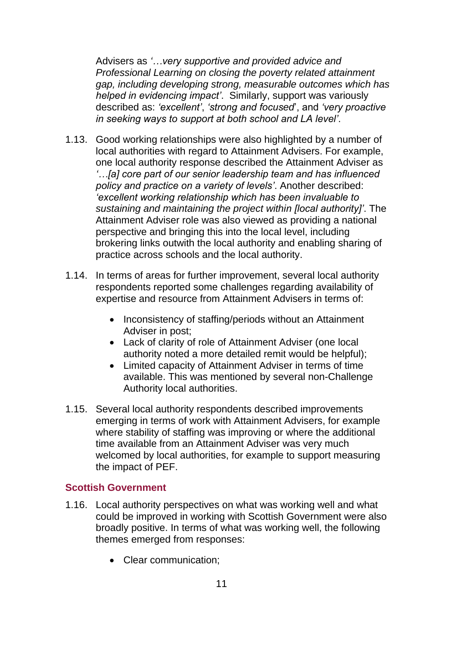Advisers as *'…very supportive and provided advice and Professional Learning on closing the poverty related attainment gap, including developing strong, measurable outcomes which has helped in evidencing impact'*. Similarly, support was variously described as: *'excellent'*, *'strong and focused*', and *'very proactive in seeking ways to support at both school and LA level'*.

- 1.13. Good working relationships were also highlighted by a number of local authorities with regard to Attainment Advisers. For example, one local authority response described the Attainment Adviser as *'…[a] core part of our senior leadership team and has influenced policy and practice on a variety of levels'*. Another described: *'excellent working relationship which has been invaluable to sustaining and maintaining the project within [local authority]'*. The Attainment Adviser role was also viewed as providing a national perspective and bringing this into the local level, including brokering links outwith the local authority and enabling sharing of practice across schools and the local authority.
- 1.14. In terms of areas for further improvement, several local authority respondents reported some challenges regarding availability of expertise and resource from Attainment Advisers in terms of:
	- Inconsistency of staffing/periods without an Attainment Adviser in post;
	- Lack of clarity of role of Attainment Adviser (one local authority noted a more detailed remit would be helpful);
	- Limited capacity of Attainment Adviser in terms of time available. This was mentioned by several non-Challenge Authority local authorities.
- 1.15. Several local authority respondents described improvements emerging in terms of work with Attainment Advisers, for example where stability of staffing was improving or where the additional time available from an Attainment Adviser was very much welcomed by local authorities, for example to support measuring the impact of PEF.

#### **Scottish Government**

- 1.16. Local authority perspectives on what was working well and what could be improved in working with Scottish Government were also broadly positive. In terms of what was working well, the following themes emerged from responses:
	- Clear communication;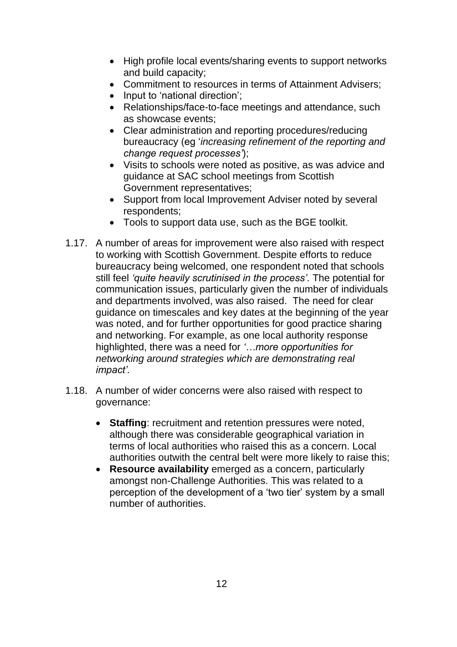- High profile local events/sharing events to support networks and build capacity;
- Commitment to resources in terms of Attainment Advisers;
- Input to 'national direction';
- Relationships/face-to-face meetings and attendance, such as showcase events;
- Clear administration and reporting procedures/reducing bureaucracy (eg '*increasing refinement of the reporting and change request processes'*);
- Visits to schools were noted as positive, as was advice and guidance at SAC school meetings from Scottish Government representatives;
- Support from local Improvement Adviser noted by several respondents;
- Tools to support data use, such as the BGE toolkit.
- 1.17. A number of areas for improvement were also raised with respect to working with Scottish Government. Despite efforts to reduce bureaucracy being welcomed, one respondent noted that schools still feel *'quite heavily scrutinised in the process'.* The potential for communication issues, particularly given the number of individuals and departments involved, was also raised. The need for clear guidance on timescales and key dates at the beginning of the year was noted, and for further opportunities for good practice sharing and networking. For example, as one local authority response highlighted, there was a need for *'…more opportunities for networking around strategies which are demonstrating real impact'.*
- 1.18. A number of wider concerns were also raised with respect to governance:
	- **Staffing**: recruitment and retention pressures were noted, although there was considerable geographical variation in terms of local authorities who raised this as a concern. Local authorities outwith the central belt were more likely to raise this;
	- **Resource availability** emerged as a concern, particularly amongst non-Challenge Authorities. This was related to a perception of the development of a 'two tier' system by a small number of authorities.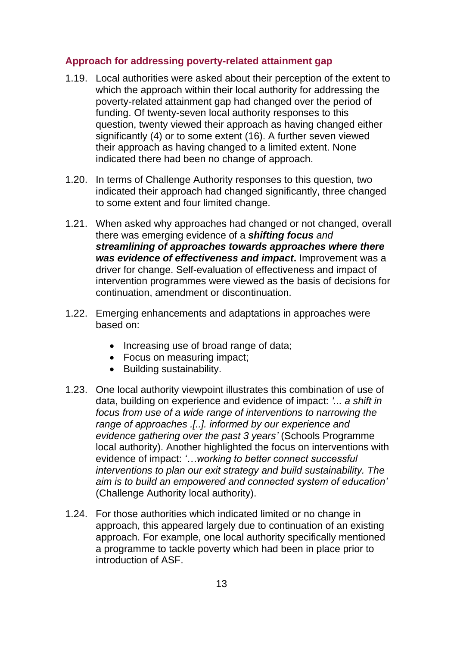#### **Approach for addressing poverty-related attainment gap**

- 1.19. Local authorities were asked about their perception of the extent to which the approach within their local authority for addressing the poverty-related attainment gap had changed over the period of funding. Of twenty-seven local authority responses to this question, twenty viewed their approach as having changed either significantly (4) or to some extent (16). A further seven viewed their approach as having changed to a limited extent. None indicated there had been no change of approach.
- 1.20. In terms of Challenge Authority responses to this question, two indicated their approach had changed significantly, three changed to some extent and four limited change.
- 1.21. When asked why approaches had changed or not changed, overall there was emerging evidence of a *shifting focus and streamlining of approaches towards approaches where there was evidence of effectiveness and impact***.** Improvement was a driver for change. Self-evaluation of effectiveness and impact of intervention programmes were viewed as the basis of decisions for continuation, amendment or discontinuation.
- 1.22. Emerging enhancements and adaptations in approaches were based on:
	- Increasing use of broad range of data;
	- Focus on measuring impact;
	- Building sustainability.
- 1.23. One local authority viewpoint illustrates this combination of use of data, building on experience and evidence of impact: *'... a shift in focus from use of a wide range of interventions to narrowing the range of approaches .[..]. informed by our experience and evidence gathering over the past 3 years'* (Schools Programme local authority). Another highlighted the focus on interventions with evidence of impact: *'…working to better connect successful interventions to plan our exit strategy and build sustainability. The aim is to build an empowered and connected system of education'* (Challenge Authority local authority).
- 1.24. For those authorities which indicated limited or no change in approach, this appeared largely due to continuation of an existing approach. For example, one local authority specifically mentioned a programme to tackle poverty which had been in place prior to introduction of ASF.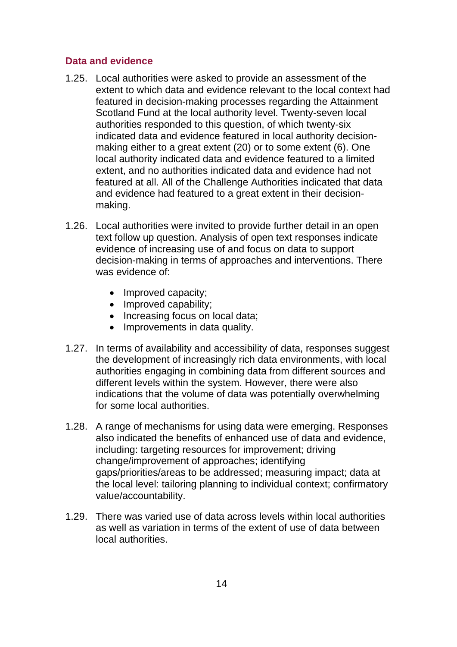#### **Data and evidence**

- 1.25. Local authorities were asked to provide an assessment of the extent to which data and evidence relevant to the local context had featured in decision-making processes regarding the Attainment Scotland Fund at the local authority level. Twenty-seven local authorities responded to this question, of which twenty-six indicated data and evidence featured in local authority decisionmaking either to a great extent (20) or to some extent (6). One local authority indicated data and evidence featured to a limited extent, and no authorities indicated data and evidence had not featured at all. All of the Challenge Authorities indicated that data and evidence had featured to a great extent in their decisionmaking.
- 1.26. Local authorities were invited to provide further detail in an open text follow up question. Analysis of open text responses indicate evidence of increasing use of and focus on data to support decision-making in terms of approaches and interventions. There was evidence of:
	- Improved capacity;
	- Improved capability;
	- Increasing focus on local data;
	- Improvements in data quality.
- 1.27. In terms of availability and accessibility of data, responses suggest the development of increasingly rich data environments, with local authorities engaging in combining data from different sources and different levels within the system. However, there were also indications that the volume of data was potentially overwhelming for some local authorities.
- 1.28. A range of mechanisms for using data were emerging. Responses also indicated the benefits of enhanced use of data and evidence, including: targeting resources for improvement; driving change/improvement of approaches; identifying gaps/priorities/areas to be addressed; measuring impact; data at the local level: tailoring planning to individual context; confirmatory value/accountability.
- 1.29. There was varied use of data across levels within local authorities as well as variation in terms of the extent of use of data between local authorities.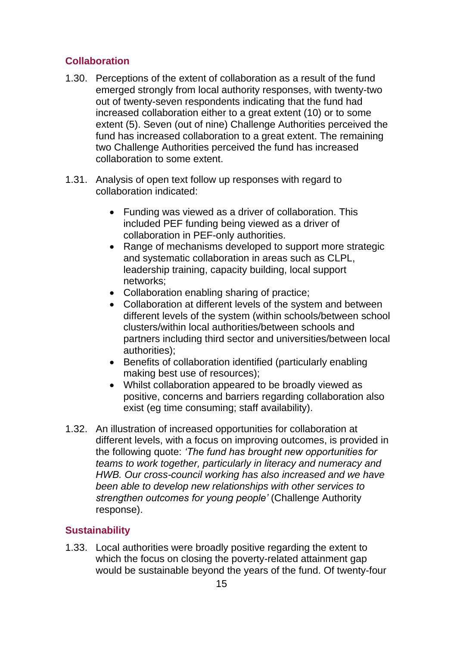#### **Collaboration**

- 1.30. Perceptions of the extent of collaboration as a result of the fund emerged strongly from local authority responses, with twenty-two out of twenty-seven respondents indicating that the fund had increased collaboration either to a great extent (10) or to some extent (5). Seven (out of nine) Challenge Authorities perceived the fund has increased collaboration to a great extent. The remaining two Challenge Authorities perceived the fund has increased collaboration to some extent.
- 1.31. Analysis of open text follow up responses with regard to collaboration indicated:
	- Funding was viewed as a driver of collaboration. This included PEF funding being viewed as a driver of collaboration in PEF-only authorities.
	- Range of mechanisms developed to support more strategic and systematic collaboration in areas such as CLPL, leadership training, capacity building, local support networks;
	- Collaboration enabling sharing of practice;
	- Collaboration at different levels of the system and between different levels of the system (within schools/between school clusters/within local authorities/between schools and partners including third sector and universities/between local authorities);
	- Benefits of collaboration identified (particularly enabling making best use of resources);
	- Whilst collaboration appeared to be broadly viewed as positive, concerns and barriers regarding collaboration also exist (eg time consuming; staff availability).
- 1.32. An illustration of increased opportunities for collaboration at different levels, with a focus on improving outcomes, is provided in the following quote: *'The fund has brought new opportunities for teams to work together, particularly in literacy and numeracy and HWB. Our cross-council working has also increased and we have been able to develop new relationships with other services to strengthen outcomes for young people'* (Challenge Authority response).

#### **Sustainability**

1.33. Local authorities were broadly positive regarding the extent to which the focus on closing the poverty-related attainment gap would be sustainable beyond the years of the fund. Of twenty-four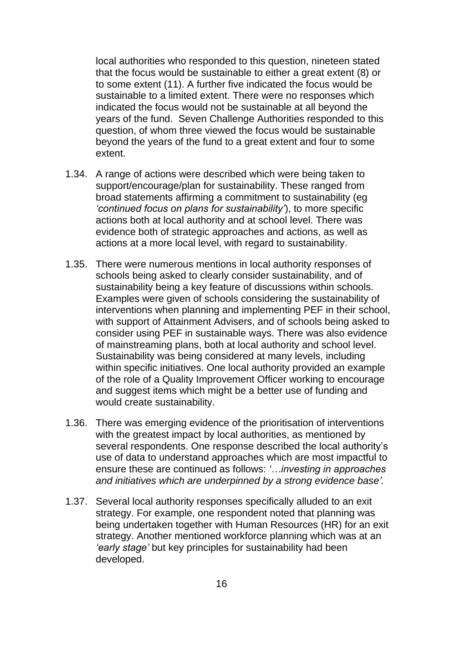local authorities who responded to this question, nineteen stated that the focus would be sustainable to either a great extent (8) or to some extent (11). A further five indicated the focus would be sustainable to a limited extent. There were no responses which indicated the focus would not be sustainable at all beyond the years of the fund. Seven Challenge Authorities responded to this question, of whom three viewed the focus would be sustainable beyond the years of the fund to a great extent and four to some extent.

- 1.34. A range of actions were described which were being taken to support/encourage/plan for sustainability. These ranged from broad statements affirming a commitment to sustainability (eg *'continued focus on plans for sustainability'*), to more specific actions both at local authority and at school level. There was evidence both of strategic approaches and actions, as well as actions at a more local level, with regard to sustainability.
- 1.35. There were numerous mentions in local authority responses of schools being asked to clearly consider sustainability, and of sustainability being a key feature of discussions within schools. Examples were given of schools considering the sustainability of interventions when planning and implementing PEF in their school, with support of Attainment Advisers, and of schools being asked to consider using PEF in sustainable ways. There was also evidence of mainstreaming plans, both at local authority and school level. Sustainability was being considered at many levels, including within specific initiatives. One local authority provided an example of the role of a Quality Improvement Officer working to encourage and suggest items which might be a better use of funding and would create sustainability.
- 1.36. There was emerging evidence of the prioritisation of interventions with the greatest impact by local authorities, as mentioned by several respondents. One response described the local authority's use of data to understand approaches which are most impactful to ensure these are continued as follows: *'…investing in approaches and initiatives which are underpinned by a strong evidence base'.*
- 1.37. Several local authority responses specifically alluded to an exit strategy. For example, one respondent noted that planning was being undertaken together with Human Resources (HR) for an exit strategy. Another mentioned workforce planning which was at an *'early stage'* but key principles for sustainability had been developed.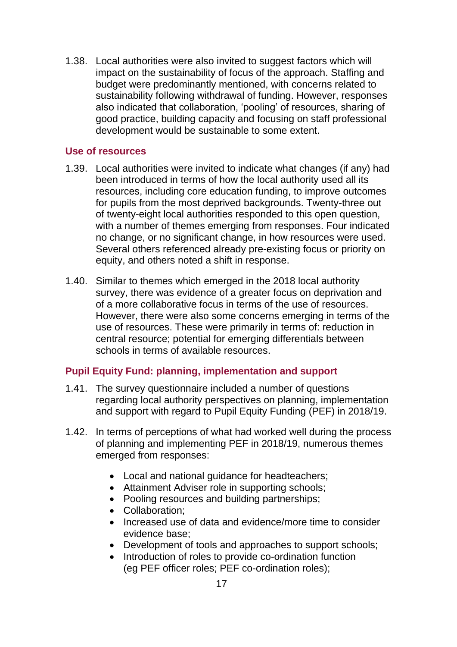1.38. Local authorities were also invited to suggest factors which will impact on the sustainability of focus of the approach. Staffing and budget were predominantly mentioned, with concerns related to sustainability following withdrawal of funding. However, responses also indicated that collaboration, 'pooling' of resources, sharing of good practice, building capacity and focusing on staff professional development would be sustainable to some extent.

#### **Use of resources**

- 1.39. Local authorities were invited to indicate what changes (if any) had been introduced in terms of how the local authority used all its resources, including core education funding, to improve outcomes for pupils from the most deprived backgrounds. Twenty-three out of twenty-eight local authorities responded to this open question, with a number of themes emerging from responses. Four indicated no change, or no significant change, in how resources were used. Several others referenced already pre-existing focus or priority on equity, and others noted a shift in response.
- 1.40. Similar to themes which emerged in the 2018 local authority survey, there was evidence of a greater focus on deprivation and of a more collaborative focus in terms of the use of resources. However, there were also some concerns emerging in terms of the use of resources. These were primarily in terms of: reduction in central resource; potential for emerging differentials between schools in terms of available resources.

#### **Pupil Equity Fund: planning, implementation and support**

- 1.41. The survey questionnaire included a number of questions regarding local authority perspectives on planning, implementation and support with regard to Pupil Equity Funding (PEF) in 2018/19.
- 1.42. In terms of perceptions of what had worked well during the process of planning and implementing PEF in 2018/19, numerous themes emerged from responses:
	- Local and national guidance for headteachers;
	- Attainment Adviser role in supporting schools;
	- Pooling resources and building partnerships;
	- Collaboration;
	- Increased use of data and evidence/more time to consider evidence base;
	- Development of tools and approaches to support schools;
	- Introduction of roles to provide co-ordination function (eg PEF officer roles; PEF co-ordination roles);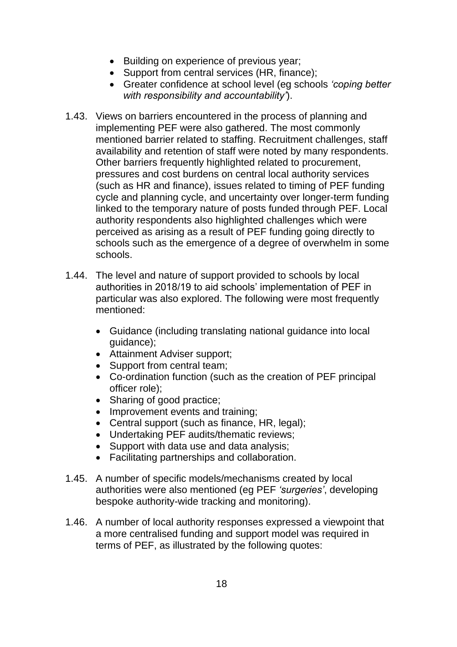- Building on experience of previous year;
- Support from central services (HR, finance);
- Greater confidence at school level (eg schools *'coping better with responsibility and accountability'*).
- 1.43. Views on barriers encountered in the process of planning and implementing PEF were also gathered. The most commonly mentioned barrier related to staffing. Recruitment challenges, staff availability and retention of staff were noted by many respondents. Other barriers frequently highlighted related to procurement, pressures and cost burdens on central local authority services (such as HR and finance), issues related to timing of PEF funding cycle and planning cycle, and uncertainty over longer-term funding linked to the temporary nature of posts funded through PEF. Local authority respondents also highlighted challenges which were perceived as arising as a result of PEF funding going directly to schools such as the emergence of a degree of overwhelm in some schools.
- 1.44. The level and nature of support provided to schools by local authorities in 2018/19 to aid schools' implementation of PEF in particular was also explored. The following were most frequently mentioned:
	- Guidance (including translating national guidance into local guidance);
	- Attainment Adviser support;
	- Support from central team:
	- Co-ordination function (such as the creation of PEF principal officer role);
	- Sharing of good practice;
	- Improvement events and training;
	- Central support (such as finance, HR, legal);
	- Undertaking PEF audits/thematic reviews;
	- Support with data use and data analysis;
	- Facilitating partnerships and collaboration.
- 1.45. A number of specific models/mechanisms created by local authorities were also mentioned (eg PEF *'surgeries'*, developing bespoke authority-wide tracking and monitoring).
- 1.46. A number of local authority responses expressed a viewpoint that a more centralised funding and support model was required in terms of PEF, as illustrated by the following quotes: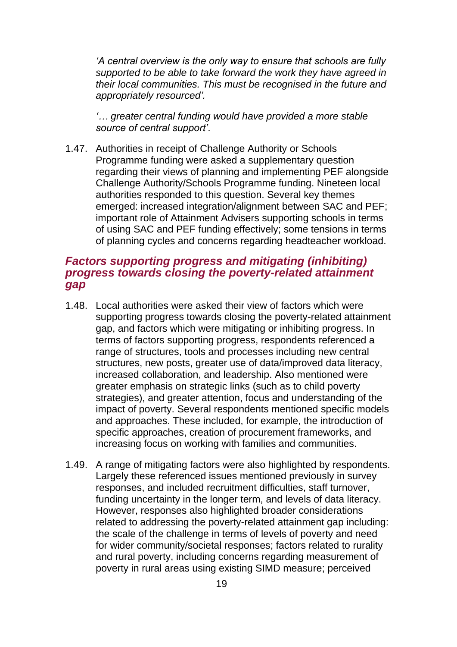*'A central overview is the only way to ensure that schools are fully supported to be able to take forward the work they have agreed in their local communities. This must be recognised in the future and appropriately resourced'.*

*'… greater central funding would have provided a more stable source of central support'*.

1.47. Authorities in receipt of Challenge Authority or Schools Programme funding were asked a supplementary question regarding their views of planning and implementing PEF alongside Challenge Authority/Schools Programme funding. Nineteen local authorities responded to this question. Several key themes emerged: increased integration/alignment between SAC and PEF; important role of Attainment Advisers supporting schools in terms of using SAC and PEF funding effectively; some tensions in terms of planning cycles and concerns regarding headteacher workload.

#### *Factors supporting progress and mitigating (inhibiting) progress towards closing the poverty-related attainment gap*

- 1.48. Local authorities were asked their view of factors which were supporting progress towards closing the poverty-related attainment gap, and factors which were mitigating or inhibiting progress. In terms of factors supporting progress, respondents referenced a range of structures, tools and processes including new central structures, new posts, greater use of data/improved data literacy, increased collaboration, and leadership. Also mentioned were greater emphasis on strategic links (such as to child poverty strategies), and greater attention, focus and understanding of the impact of poverty. Several respondents mentioned specific models and approaches. These included, for example, the introduction of specific approaches, creation of procurement frameworks, and increasing focus on working with families and communities.
- 1.49. A range of mitigating factors were also highlighted by respondents. Largely these referenced issues mentioned previously in survey responses, and included recruitment difficulties, staff turnover, funding uncertainty in the longer term, and levels of data literacy. However, responses also highlighted broader considerations related to addressing the poverty-related attainment gap including: the scale of the challenge in terms of levels of poverty and need for wider community/societal responses; factors related to rurality and rural poverty, including concerns regarding measurement of poverty in rural areas using existing SIMD measure; perceived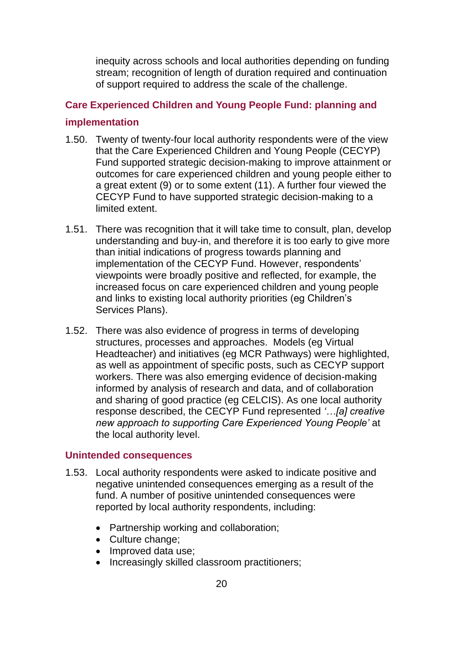inequity across schools and local authorities depending on funding stream; recognition of length of duration required and continuation of support required to address the scale of the challenge.

### **Care Experienced Children and Young People Fund: planning and implementation**

- 1.50. Twenty of twenty-four local authority respondents were of the view that the Care Experienced Children and Young People (CECYP) Fund supported strategic decision-making to improve attainment or outcomes for care experienced children and young people either to a great extent (9) or to some extent (11). A further four viewed the CECYP Fund to have supported strategic decision-making to a limited extent.
- 1.51. There was recognition that it will take time to consult, plan, develop understanding and buy-in, and therefore it is too early to give more than initial indications of progress towards planning and implementation of the CECYP Fund. However, respondents' viewpoints were broadly positive and reflected, for example, the increased focus on care experienced children and young people and links to existing local authority priorities (eg Children's Services Plans).
- 1.52. There was also evidence of progress in terms of developing structures, processes and approaches. Models (eg Virtual Headteacher) and initiatives (eg MCR Pathways) were highlighted, as well as appointment of specific posts, such as CECYP support workers. There was also emerging evidence of decision-making informed by analysis of research and data, and of collaboration and sharing of good practice (eg CELCIS). As one local authority response described, the CECYP Fund represented *'…[a] creative new approach to supporting Care Experienced Young People'* at the local authority level.

#### **Unintended consequences**

- 1.53. Local authority respondents were asked to indicate positive and negative unintended consequences emerging as a result of the fund. A number of positive unintended consequences were reported by local authority respondents, including:
	- Partnership working and collaboration;
	- Culture change;
	- Improved data use;
	- Increasingly skilled classroom practitioners;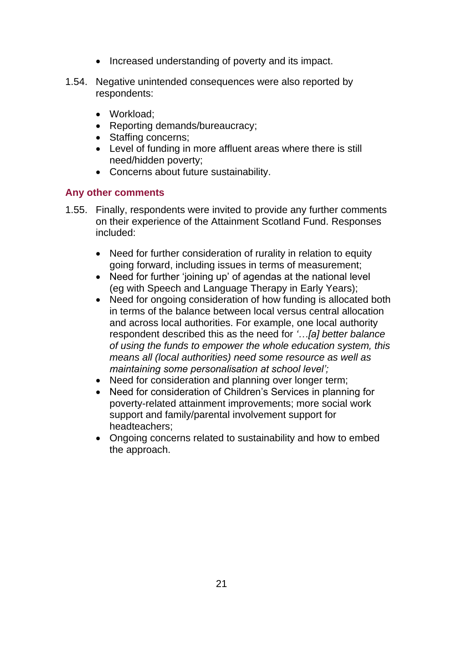- Increased understanding of poverty and its impact.
- 1.54. Negative unintended consequences were also reported by respondents:
	- Workload;
	- Reporting demands/bureaucracy;
	- Staffing concerns;
	- Level of funding in more affluent areas where there is still need/hidden poverty;
	- Concerns about future sustainability.

#### **Any other comments**

- 1.55. Finally, respondents were invited to provide any further comments on their experience of the Attainment Scotland Fund. Responses included:
	- Need for further consideration of rurality in relation to equity going forward, including issues in terms of measurement;
	- Need for further 'joining up' of agendas at the national level (eg with Speech and Language Therapy in Early Years);
	- Need for ongoing consideration of how funding is allocated both in terms of the balance between local versus central allocation and across local authorities. For example, one local authority respondent described this as the need for *'…[a] better balance of using the funds to empower the whole education system, this means all (local authorities) need some resource as well as maintaining some personalisation at school level';*
	- Need for consideration and planning over longer term;
	- Need for consideration of Children's Services in planning for poverty-related attainment improvements; more social work support and family/parental involvement support for headteachers;
	- Ongoing concerns related to sustainability and how to embed the approach.